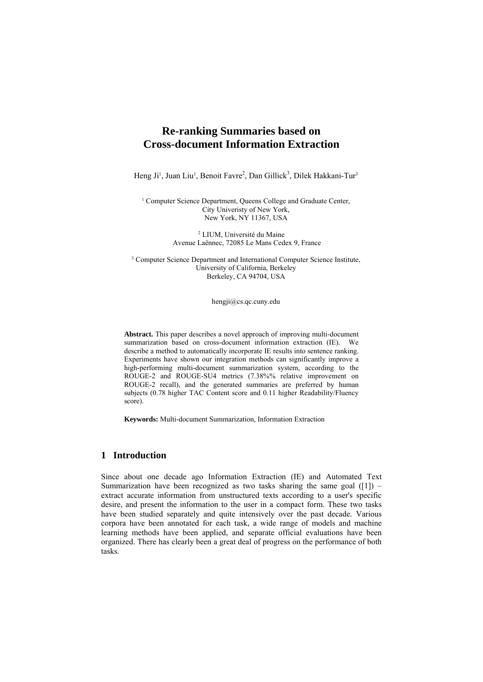# **Re-ranking Summaries based on Cross-document Information Extraction**

Heng Ji<sup>1</sup>, Juan Liu<sup>1</sup>, Benoit Favre<sup>2</sup>, Dan Gillick<sup>3</sup>, Dilek Hakkani-Tur<sup>3</sup>

<sup>1</sup> Computer Science Department, Queens College and Graduate Center, City Univeristy of New York, New York, NY 11367, USA

> 2 LIUM, Université du Maine Avenue Laënnec, 72085 Le Mans Cedex 9, France

<sup>3</sup> Computer Science Department and International Computer Science Institute, University of California, Berkeley Berkeley, CA 94704, USA

hengji@cs.qc.cuny.edu

**Abstract.** This paper describes a novel approach of improving multi-document summarization based on cross-document information extraction (IE). We describe a method to automatically incorporate IE results into sentence ranking. Experiments have shown our integration methods can significantly improve a high-performing multi-document summarization system, according to the ROUGE-2 and ROUGE-SU4 metrics (7.38%% relative improvement on ROUGE-2 recall), and the generated summaries are preferred by human subjects (0.78 higher TAC Content score and 0.11 higher Readability/Fluency score).

**Keywords:** Multi-document Summarization, Information Extraction

# **1 Introduction**

Since about one decade ago Information Extraction (IE) and Automated Text Summarization have been recognized as two tasks sharing the same goal  $(1)$  – extract accurate information from unstructured texts according to a user's specific desire, and present the information to the user in a compact form. These two tasks have been studied separately and quite intensively over the past decade. Various corpora have been annotated for each task, a wide range of models and machine learning methods have been applied, and separate official evaluations have been organized. There has clearly been a great deal of progress on the performance of both tasks.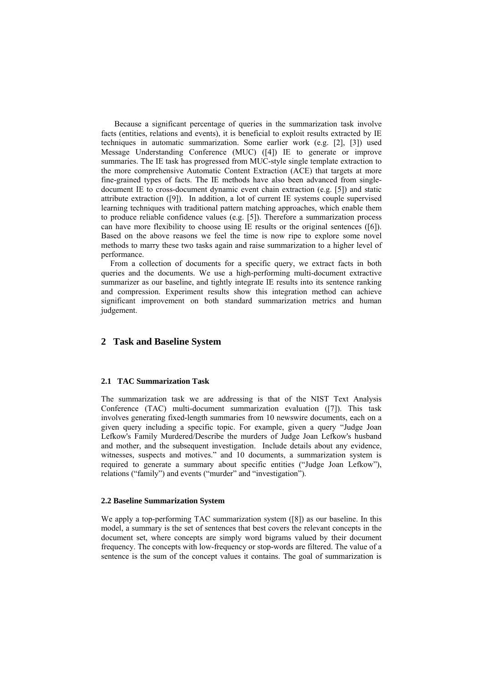Because a significant percentage of queries in the summarization task involve facts (entities, relations and events), it is beneficial to exploit results extracted by IE techniques in automatic summarization. Some earlier work (e.g. [2], [3]) used Message Understanding Conference (MUC) ([4]) IE to generate or improve summaries. The IE task has progressed from MUC-style single template extraction to the more comprehensive Automatic Content Extraction (ACE) that targets at more fine-grained types of facts. The IE methods have also been advanced from singledocument IE to cross-document dynamic event chain extraction (e.g. [5]) and static attribute extraction ([9]). In addition, a lot of current IE systems couple supervised learning techniques with traditional pattern matching approaches, which enable them to produce reliable confidence values (e.g. [5]). Therefore a summarization process can have more flexibility to choose using IE results or the original sentences ([6]). Based on the above reasons we feel the time is now ripe to explore some novel methods to marry these two tasks again and raise summarization to a higher level of performance.

From a collection of documents for a specific query, we extract facts in both queries and the documents. We use a high-performing multi-document extractive summarizer as our baseline, and tightly integrate IE results into its sentence ranking and compression. Experiment results show this integration method can achieve significant improvement on both standard summarization metrics and human judgement.

# **2 Task and Baseline System**

#### **2.1 TAC Summarization Task**

The summarization task we are addressing is that of the NIST Text Analysis Conference (TAC) multi-document summarization evaluation ([7]). This task involves generating fixed-length summaries from 10 newswire documents, each on a given query including a specific topic. For example, given a query "Judge Joan Lefkow's Family Murdered/Describe the murders of Judge Joan Lefkow's husband and mother, and the subsequent investigation. Include details about any evidence, witnesses, suspects and motives." and 10 documents, a summarization system is required to generate a summary about specific entities ("Judge Joan Lefkow"), relations ("family") and events ("murder" and "investigation").

#### **2.2 Baseline Summarization System**

We apply a top-performing TAC summarization system ([8]) as our baseline. In this model, a summary is the set of sentences that best covers the relevant concepts in the document set, where concepts are simply word bigrams valued by their document frequency. The concepts with low-frequency or stop-words are filtered. The value of a sentence is the sum of the concept values it contains. The goal of summarization is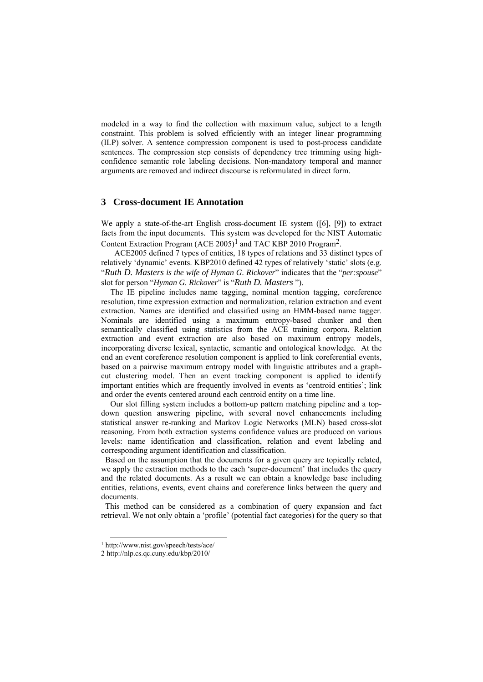modeled in a way to find the collection with maximum value, subject to a length constraint. This problem is solved efficiently with an integer linear programming (ILP) solver. A sentence compression component is used to post-process candidate sentences. The compression step consists of dependency tree trimming using highconfidence semantic role labeling decisions. Non-mandatory temporal and manner arguments are removed and indirect discourse is reformulated in direct form.

# **3 Cross-document IE Annotation**

We apply a state-of-the-art English cross-document IE system ([6], [9]) to extract facts from the input documents. This system was developed for the NIST Automatic Content Extraction Program (ACE 2005)<sup>1</sup> and TAC KBP 2010 Program<sup>2</sup>.

 ACE2005 defined 7 types of entities, 18 types of relations and 33 distinct types of relatively 'dynamic' events. KBP2010 defined 42 types of relatively 'static' slots (e.g. "*Ruth D. Masters is the wife of Hyman G. Rickover*" indicates that the "*per:spouse*" slot for person "*Hyman G. Rickover*" is "*Ruth D. Masters* ").

The IE pipeline includes name tagging, nominal mention tagging, coreference resolution, time expression extraction and normalization, relation extraction and event extraction. Names are identified and classified using an HMM-based name tagger. Nominals are identified using a maximum entropy-based chunker and then semantically classified using statistics from the ACE training corpora. Relation extraction and event extraction are also based on maximum entropy models, incorporating diverse lexical, syntactic, semantic and ontological knowledge. At the end an event coreference resolution component is applied to link coreferential events, based on a pairwise maximum entropy model with linguistic attributes and a graphcut clustering model. Then an event tracking component is applied to identify important entities which are frequently involved in events as 'centroid entities'; link and order the events centered around each centroid entity on a time line.

Our slot filling system includes a bottom-up pattern matching pipeline and a topdown question answering pipeline, with several novel enhancements including statistical answer re-ranking and Markov Logic Networks (MLN) based cross-slot reasoning. From both extraction systems confidence values are produced on various levels: name identification and classification, relation and event labeling and corresponding argument identification and classification.

 Based on the assumption that the documents for a given query are topically related, we apply the extraction methods to the each 'super-document' that includes the query and the related documents. As a result we can obtain a knowledge base including entities, relations, events, event chains and coreference links between the query and documents.

 This method can be considered as a combination of query expansion and fact retrieval. We not only obtain a 'profile' (potential fact categories) for the query so that

 <sup>1</sup> http://www.nist.gov/speech/tests/ace/

<sup>2</sup> http://nlp.cs.qc.cuny.edu/kbp/2010/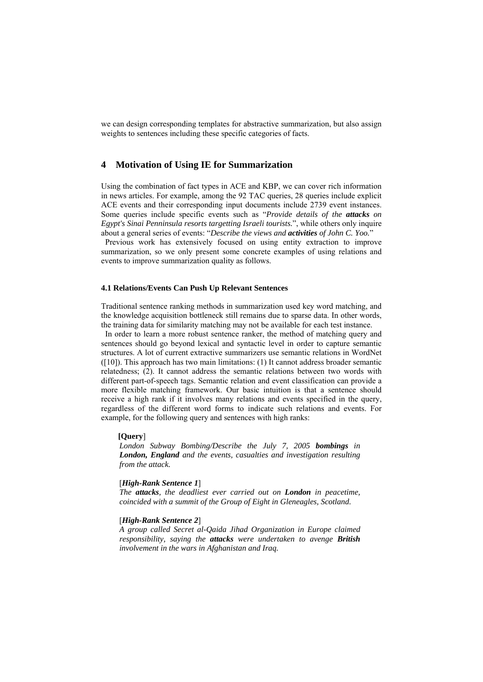we can design corresponding templates for abstractive summarization, but also assign weights to sentences including these specific categories of facts.

# **4 Motivation of Using IE for Summarization**

Using the combination of fact types in ACE and KBP, we can cover rich information in news articles. For example, among the 92 TAC queries, 28 queries include explicit ACE events and their corresponding input documents include 2739 event instances. Some queries include specific events such as "*Provide details of the attacks on Egypt's Sinai Penninsula resorts targetting Israeli tourists.*", while others only inquire about a general series of events: "*Describe the views and activities of John C. Yoo.*"

 Previous work has extensively focused on using entity extraction to improve summarization, so we only present some concrete examples of using relations and events to improve summarization quality as follows.

### **4.1 Relations/Events Can Push Up Relevant Sentences**

Traditional sentence ranking methods in summarization used key word matching, and the knowledge acquisition bottleneck still remains due to sparse data. In other words, the training data for similarity matching may not be available for each test instance.

 In order to learn a more robust sentence ranker, the method of matching query and sentences should go beyond lexical and syntactic level in order to capture semantic structures. A lot of current extractive summarizers use semantic relations in WordNet  $([10])$ . This approach has two main limitations:  $(1)$  It cannot address broader semantic relatedness; (2). It cannot address the semantic relations between two words with different part-of-speech tags. Semantic relation and event classification can provide a more flexible matching framework. Our basic intuition is that a sentence should receive a high rank if it involves many relations and events specified in the query, regardless of the different word forms to indicate such relations and events. For example, for the following query and sentences with high ranks:

#### **[Query**]

*London Subway Bombing/Describe the July 7, 2005 bombings in London, England and the events, casualties and investigation resulting from the attack.* 

#### [*High-Rank Sentence 1*]

*The attacks, the deadliest ever carried out on London in peacetime, coincided with a summit of the Group of Eight in Gleneagles, Scotland.* 

#### [*High-Rank Sentence 2*]

*A group called Secret al-Qaida Jihad Organization in Europe claimed responsibility, saying the attacks were undertaken to avenge British involvement in the wars in Afghanistan and Iraq.*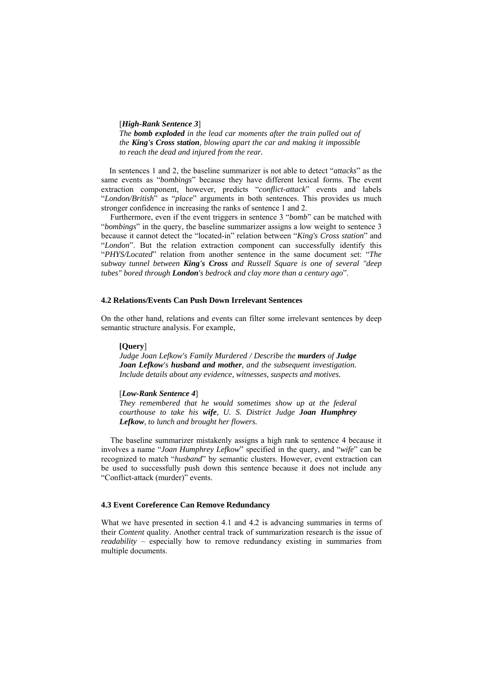[*High-Rank Sentence 3*]

*The bomb exploded in the lead car moments after the train pulled out of the King's Cross station, blowing apart the car and making it impossible to reach the dead and injured from the rear.* 

In sentences 1 and 2, the baseline summarizer is not able to detect "*attacks*" as the same events as "*bombings*" because they have different lexical forms. The event extraction component, however, predicts "*conflict-attack*" events and labels "*London/British*" as "*place*" arguments in both sentences. This provides us much stronger confidence in increasing the ranks of sentence 1 and 2.

Furthermore, even if the event triggers in sentence 3 "*bomb*" can be matched with "*bombings*" in the query, the baseline summarizer assigns a low weight to sentence 3 because it cannot detect the "located-in" relation between "*King's Cross station*" and "*London*". But the relation extraction component can successfully identify this "*PHYS/Located*" relation from another sentence in the same document set: "*The subway tunnel between King's Cross and Russell Square is one of several "deep tubes" bored through London's bedrock and clay more than a century ago*".

### **4.2 Relations/Events Can Push Down Irrelevant Sentences**

On the other hand, relations and events can filter some irrelevant sentences by deep semantic structure analysis. For example,

#### **[Query**]

*Judge Joan Lefkow's Family Murdered / Describe the murders of Judge Joan Lefkow's husband and mother, and the subsequent investigation. Include details about any evidence, witnesses, suspects and motives.* 

### [*Low-Rank Sentence 4*]

*They remembered that he would sometimes show up at the federal courthouse to take his wife, U. S. District Judge Joan Humphrey Lefkow, to lunch and brought her flowers.* 

The baseline summarizer mistakenly assigns a high rank to sentence 4 because it involves a name "*Joan Humphrey Lefkow*" specified in the query, and "*wife*" can be recognized to match "*husband*" by semantic clusters. However, event extraction can be used to successfully push down this sentence because it does not include any "Conflict-attack (murder)" events.

### **4.3 Event Coreference Can Remove Redundancy**

What we have presented in section 4.1 and 4.2 is advancing summaries in terms of their *Content* quality. Another central track of summarization research is the issue of *readability* – especially how to remove redundancy existing in summaries from multiple documents.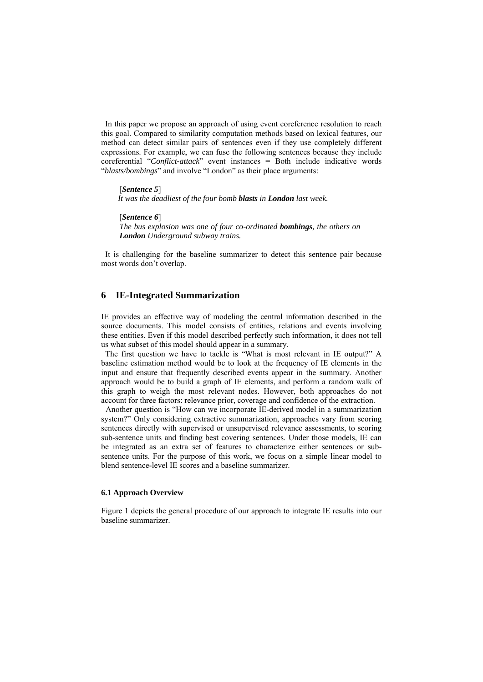In this paper we propose an approach of using event coreference resolution to reach this goal. Compared to similarity computation methods based on lexical features, our method can detect similar pairs of sentences even if they use completely different expressions. For example, we can fuse the following sentences because they include coreferential "*Conflict-attack*" event instances = Both include indicative words "*blasts/bombings*" and involve "London" as their place arguments:

[*Sentence 5*] *It was the deadliest of the four bomb blasts in London last week.* 

[*Sentence 6*] *The bus explosion was one of four co-ordinated bombings, the others on London Underground subway trains.* 

 It is challenging for the baseline summarizer to detect this sentence pair because most words don't overlap.

### **6 IE-Integrated Summarization**

IE provides an effective way of modeling the central information described in the source documents. This model consists of entities, relations and events involving these entities. Even if this model described perfectly such information, it does not tell us what subset of this model should appear in a summary.

 The first question we have to tackle is "What is most relevant in IE output?" A baseline estimation method would be to look at the frequency of IE elements in the input and ensure that frequently described events appear in the summary. Another approach would be to build a graph of IE elements, and perform a random walk of this graph to weigh the most relevant nodes. However, both approaches do not account for three factors: relevance prior, coverage and confidence of the extraction.

 Another question is "How can we incorporate IE-derived model in a summarization system?" Only considering extractive summarization, approaches vary from scoring sentences directly with supervised or unsupervised relevance assessments, to scoring sub-sentence units and finding best covering sentences. Under those models, IE can be integrated as an extra set of features to characterize either sentences or subsentence units. For the purpose of this work, we focus on a simple linear model to blend sentence-level IE scores and a baseline summarizer.

#### **6.1 Approach Overview**

Figure 1 depicts the general procedure of our approach to integrate IE results into our baseline summarizer.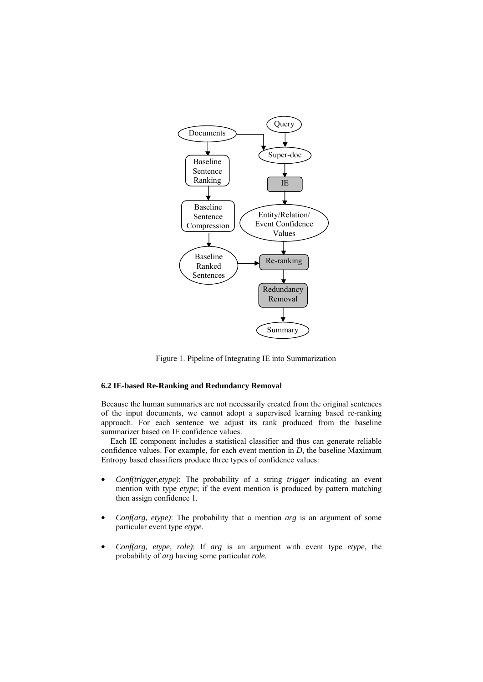

Figure 1. Pipeline of Integrating IE into Summarization

### **6.2 IE-based Re-Ranking and Redundancy Removal**

Because the human summaries are not necessarily created from the original sentences of the input documents, we cannot adopt a supervised learning based re-ranking approach. For each sentence we adjust its rank produced from the baseline summarizer based on IE confidence values.

Each IE component includes a statistical classifier and thus can generate reliable confidence values. For example, for each event mention in *D*, the baseline Maximum Entropy based classifiers produce three types of confidence values:

- *Conf(trigger,etype)*: The probability of a string *trigger* indicating an event mention with type *etype*; if the event mention is produced by pattern matching then assign confidence 1.
- *Conf(arg, etype)*: The probability that a mention *arg* is an argument of some particular event type *etype*.
- *Conf(arg, etype, role)*: If *arg* is an argument with event type *etype*, the probability of *arg* having some particular *role*.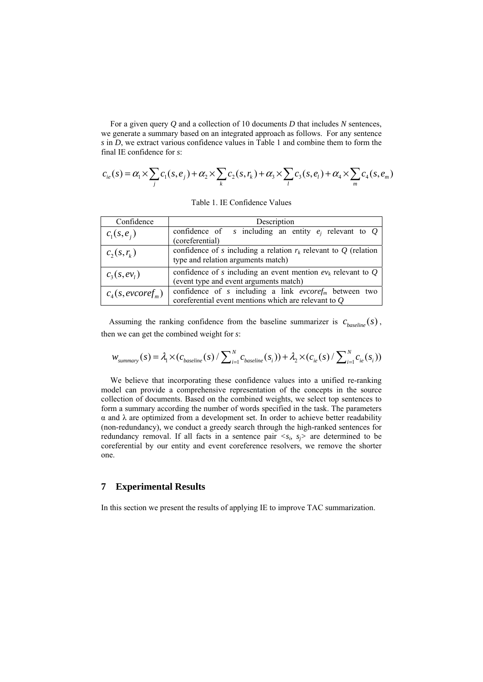For a given query *Q* and a collection of 10 documents *D* that includes *N* sentences, we generate a summary based on an integrated approach as follows. For any sentence *s* in *D*, we extract various confidence values in Table 1 and combine them to form the final IE confidence for *s*:

$$
c_{ie}(s) = \alpha_1 \times \sum_j c_1(s, e_j) + \alpha_2 \times \sum_k c_2(s, r_k) + \alpha_3 \times \sum_l c_3(s, e_l) + \alpha_4 \times \sum_m c_4(s, e_m)
$$

| Confidence             | Description                                                                                                                 |  |  |  |
|------------------------|-----------------------------------------------------------------------------------------------------------------------------|--|--|--|
| $c_1(s, e_i)$          | confidence of s including an entity $e_i$ relevant to Q<br>(coreferential)                                                  |  |  |  |
| $c_2(s,r_k)$           | confidence of s including a relation $r_k$ relevant to Q (relation<br>type and relation arguments match)                    |  |  |  |
| $c_3(s, ev_1)$         | confidence of s including an event mention $ev_k$ relevant to Q<br>(event type and event arguments match)                   |  |  |  |
| $c_4(s, e\nu coref_m)$ | confidence of s including a link $\textit{evcoref}_m$ between two<br>coreferential event mentions which are relevant to $Q$ |  |  |  |

Table 1. IE Confidence Values

Assuming the ranking confidence from the baseline summarizer is  $c_{\text{baseline}}(s)$ , then we can get the combined weight for *s*:

$$
W_{\text{summary}}(s) = \lambda_1 \times (c_{\text{baseline}}(s) / \sum_{i=1}^{N} c_{\text{baseline}}(s_i)) + \lambda_2 \times (c_{\text{ie}}(s) / \sum_{i=1}^{N} c_{\text{ie}}(s_i))
$$

We believe that incorporating these confidence values into a unified re-ranking model can provide a comprehensive representation of the concepts in the source collection of documents. Based on the combined weights, we select top sentences to form a summary according the number of words specified in the task. The parameters  $\alpha$  and  $\lambda$  are optimized from a development set. In order to achieve better readability (non-redundancy), we conduct a greedy search through the high-ranked sentences for redundancy removal. If all facts in a sentence pair  $\langle s_i, s_j \rangle$  are determined to be coreferential by our entity and event coreference resolvers, we remove the shorter one.

## **7 Experimental Results**

In this section we present the results of applying IE to improve TAC summarization.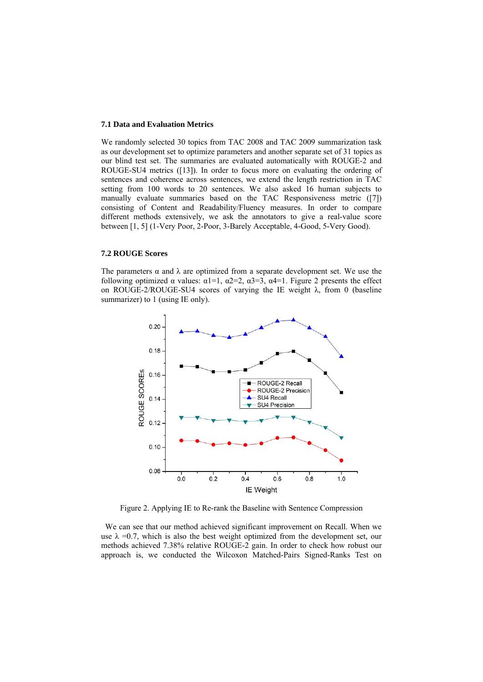#### **7.1 Data and Evaluation Metrics**

We randomly selected 30 topics from TAC 2008 and TAC 2009 summarization task as our development set to optimize parameters and another separate set of 31 topics as our blind test set. The summaries are evaluated automatically with ROUGE-2 and ROUGE-SU4 metrics ([13]). In order to focus more on evaluating the ordering of sentences and coherence across sentences, we extend the length restriction in TAC setting from 100 words to 20 sentences. We also asked 16 human subjects to manually evaluate summaries based on the TAC Responsiveness metric ([7]) consisting of Content and Readability/Fluency measures. In order to compare different methods extensively, we ask the annotators to give a real-value score between [1, 5] (1-Very Poor, 2-Poor, 3-Barely Acceptable, 4-Good, 5-Very Good).

### **7.2 ROUGE Scores**

The parameters  $\alpha$  and  $\lambda$  are optimized from a separate development set. We use the following optimized  $\alpha$  values:  $\alpha$ 1=1,  $\alpha$ 2=2,  $\alpha$ 3=3,  $\alpha$ 4=1. Figure 2 presents the effect on ROUGE-2/ROUGE-SU4 scores of varying the IE weight  $\lambda$ , from 0 (baseline summarizer) to 1 (using IE only).



Figure 2. Applying IE to Re-rank the Baseline with Sentence Compression

 We can see that our method achieved significant improvement on Recall. When we use  $\lambda = 0.7$ , which is also the best weight optimized from the development set, our methods achieved 7.38% relative ROUGE-2 gain. In order to check how robust our approach is, we conducted the Wilcoxon Matched-Pairs Signed-Ranks Test on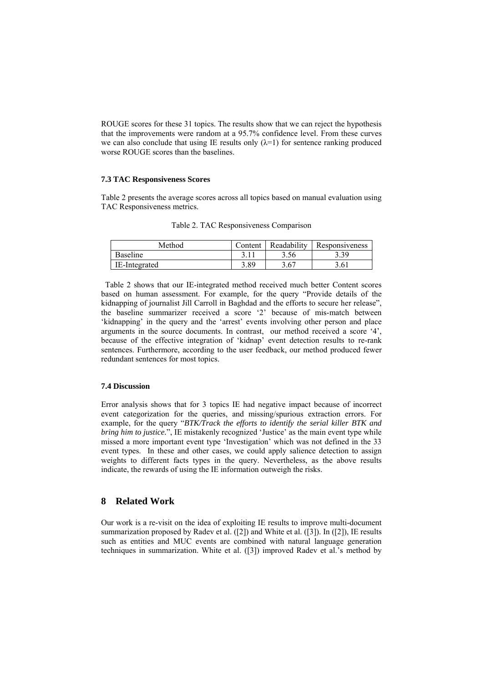ROUGE scores for these 31 topics. The results show that we can reject the hypothesis that the improvements were random at a 95.7% confidence level. From these curves we can also conclude that using IE results only  $(\lambda=1)$  for sentence ranking produced worse ROUGE scores than the baselines.

#### **7.3 TAC Responsiveness Scores**

Table 2 presents the average scores across all topics based on manual evaluation using TAC Responsiveness metrics.

| Method        | Content | Readability | Responsiveness |
|---------------|---------|-------------|----------------|
| Baseline      |         | 3.56        | 2 2 Q          |
| IE-Integrated | 3.89    | 3.67        | 3.61           |

Table 2. TAC Responsiveness Comparison

 Table 2 shows that our IE-integrated method received much better Content scores based on human assessment. For example, for the query "Provide details of the kidnapping of journalist Jill Carroll in Baghdad and the efforts to secure her release", the baseline summarizer received a score '2' because of mis-match between 'kidnapping' in the query and the 'arrest' events involving other person and place arguments in the source documents. In contrast, our method received a score '4', because of the effective integration of 'kidnap' event detection results to re-rank sentences. Furthermore, according to the user feedback, our method produced fewer redundant sentences for most topics.

#### **7.4 Discussion**

Error analysis shows that for 3 topics IE had negative impact because of incorrect event categorization for the queries, and missing/spurious extraction errors. For example, for the query "*BTK/Track the efforts to identify the serial killer BTK and bring him to justice.*", IE mistakenly recognized 'Justice' as the main event type while missed a more important event type 'Investigation' which was not defined in the 33 event types. In these and other cases, we could apply salience detection to assign weights to different facts types in the query. Nevertheless, as the above results indicate, the rewards of using the IE information outweigh the risks.

## **8 Related Work**

Our work is a re-visit on the idea of exploiting IE results to improve multi-document summarization proposed by Radev et al. ([2]) and White et al. ([3]). In ([2]), IE results such as entities and MUC events are combined with natural language generation techniques in summarization. White et al. ([3]) improved Radev et al.'s method by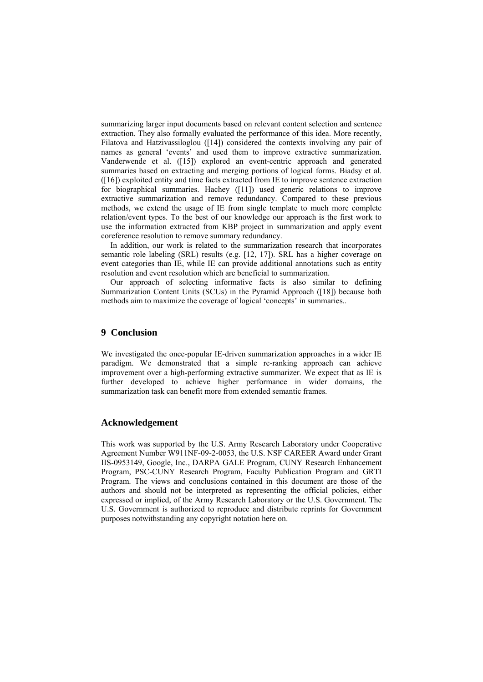summarizing larger input documents based on relevant content selection and sentence extraction. They also formally evaluated the performance of this idea. More recently, Filatova and Hatzivassiloglou ([14]) considered the contexts involving any pair of names as general 'events' and used them to improve extractive summarization. Vanderwende et al. ([15]) explored an event-centric approach and generated summaries based on extracting and merging portions of logical forms. Biadsy et al. ([16]) exploited entity and time facts extracted from IE to improve sentence extraction for biographical summaries. Hachey ([11]) used generic relations to improve extractive summarization and remove redundancy. Compared to these previous methods, we extend the usage of IE from single template to much more complete relation/event types. To the best of our knowledge our approach is the first work to use the information extracted from KBP project in summarization and apply event coreference resolution to remove summary redundancy.

In addition, our work is related to the summarization research that incorporates semantic role labeling (SRL) results (e.g. [12, 17]). SRL has a higher coverage on event categories than IE, while IE can provide additional annotations such as entity resolution and event resolution which are beneficial to summarization.

Our approach of selecting informative facts is also similar to defining Summarization Content Units (SCUs) in the Pyramid Approach ([18]) because both methods aim to maximize the coverage of logical 'concepts' in summaries..

# **9 Conclusion**

We investigated the once-popular IE-driven summarization approaches in a wider IE paradigm. We demonstrated that a simple re-ranking approach can achieve improvement over a high-performing extractive summarizer. We expect that as IE is further developed to achieve higher performance in wider domains, the summarization task can benefit more from extended semantic frames.

### **Acknowledgement**

This work was supported by the U.S. Army Research Laboratory under Cooperative Agreement Number W911NF-09-2-0053, the U.S. NSF CAREER Award under Grant IIS-0953149, Google, Inc., DARPA GALE Program, CUNY Research Enhancement Program, PSC-CUNY Research Program, Faculty Publication Program and GRTI Program. The views and conclusions contained in this document are those of the authors and should not be interpreted as representing the official policies, either expressed or implied, of the Army Research Laboratory or the U.S. Government. The U.S. Government is authorized to reproduce and distribute reprints for Government purposes notwithstanding any copyright notation here on.